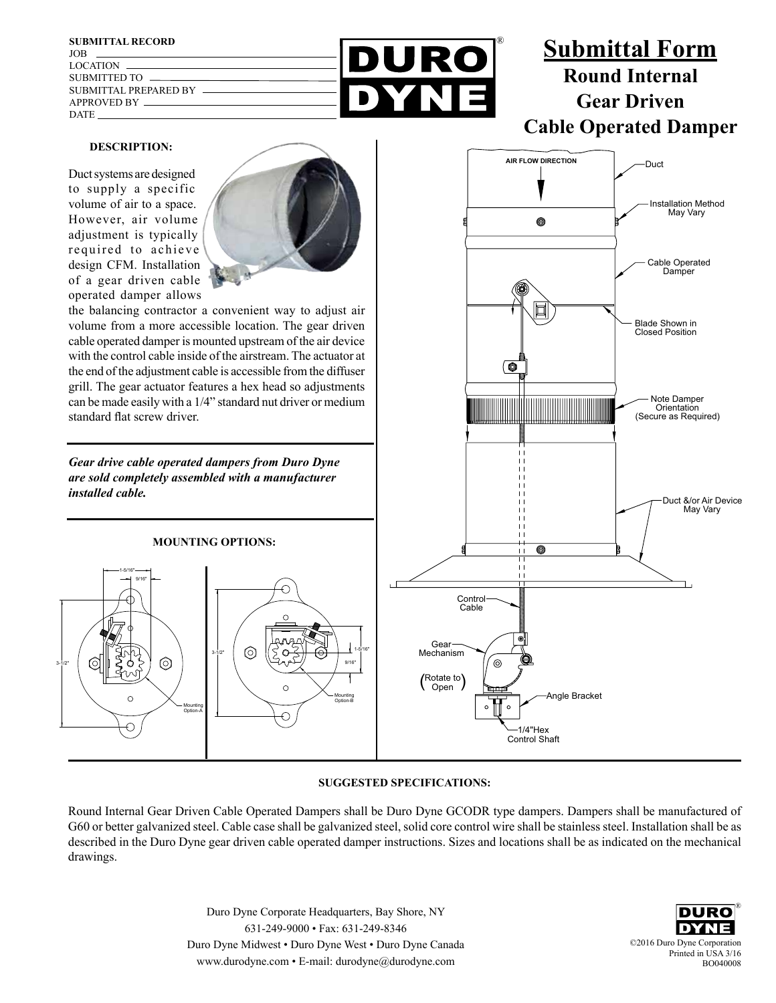

## **SUGGESTED SPECIFICATIONS:**

Round Internal Gear Driven Cable Operated Dampers shall be Duro Dyne GCODR type dampers. Dampers shall be manufactured of G60 or better galvanized steel. Cable case shall be galvanized steel, solid core control wire shall be stainless steel. Installation shall be as described in the Duro Dyne gear driven cable operated damper instructions. Sizes and locations shall be as indicated on the mechanical drawings.

> Duro Dyne Corporate Headquarters, Bay Shore, NY 631-249-9000 • Fax: 631-249-8346 Duro Dyne Midwest • Duro Dyne West • Duro Dyne Canada www.durodyne.com • E-mail: durodyne@durodyne.com

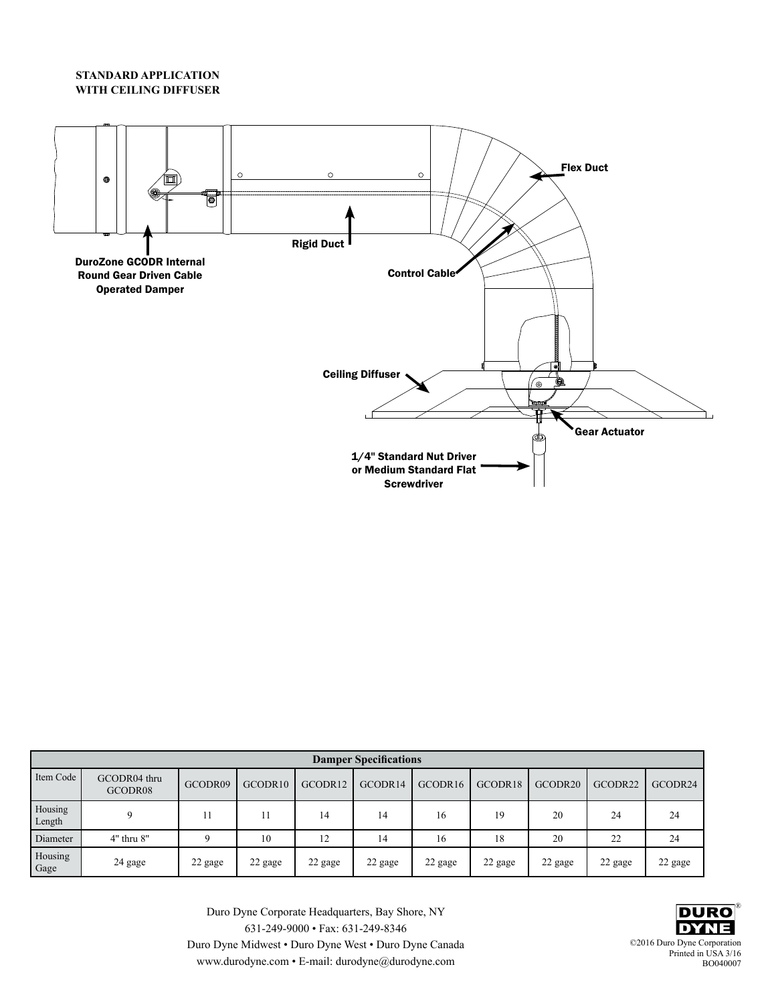## **STANDARD APPLICATION WITH CEILING DIFFUSER**



|                   |                         |          |         |          | <b>Damper Specifications</b> |         |         |         |         |         |
|-------------------|-------------------------|----------|---------|----------|------------------------------|---------|---------|---------|---------|---------|
| Item Code         | GCODR04 thru<br>GCODR08 | GCODR09  | GCODR10 | GCODR12  | GCODR14                      | GCODR16 | GCODR18 | GCODR20 | GCODR22 | GCODR24 |
| Housing<br>Length |                         |          | 11      | 14       | 14                           | 16      | 19      | 20      | 24      | 24      |
| Diameter          | $4"$ thru $8"$          | $\Omega$ | 10      | າາ<br>14 | 14                           | 16      | 18      | 20      | 22      | 24      |
| Housing<br>Gage   | 24 gage                 | 22 gage  | 22 gage | 22 gage  | 22 gage                      | 22 gage | 22 gage | 22 gage | 22 gage | 22 gage |

Duro Dyne Corporate Headquarters, Bay Shore, NY 631-249-9000 • Fax: 631-249-8346 Duro Dyne Midwest • Duro Dyne West • Duro Dyne Canada www.durodyne.com • E-mail: durodyne@durodyne.com

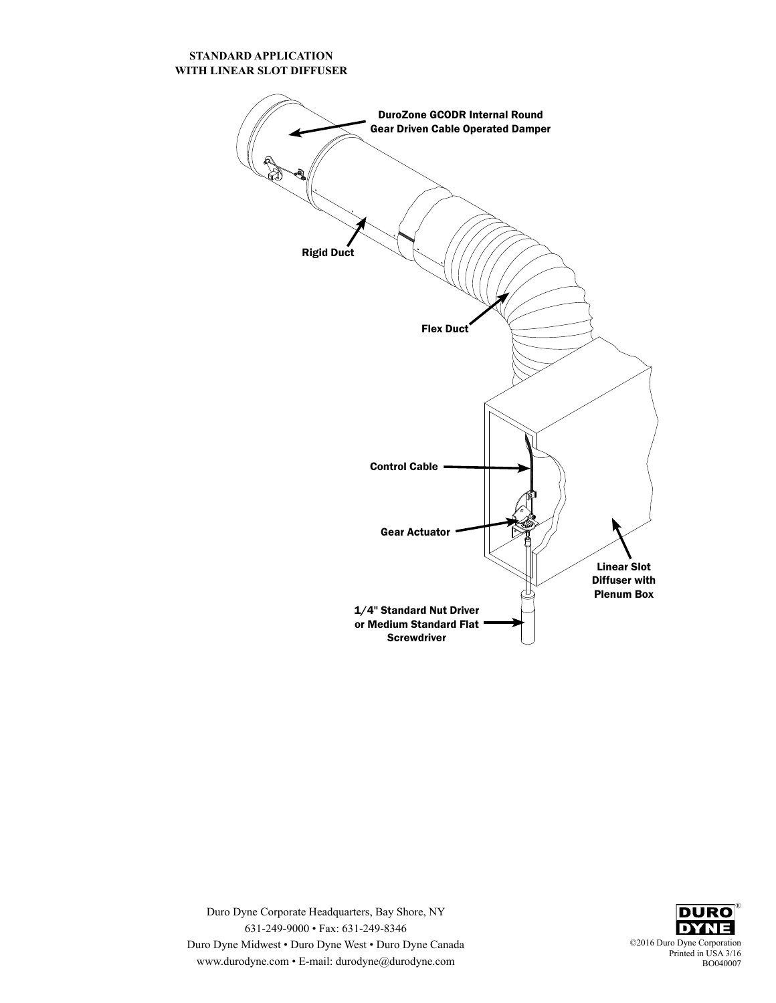## **STANDARD APPLICATION WITH LINEAR SLOT DIFFUSER**





Duro Dyne Corporate Headquarters, Bay Shore, NY 631-249-9000 • Fax: 631-249-8346 Duro Dyne Midwest • Duro Dyne West • Duro Dyne Canada www.durodyne.com • E-mail: durodyne@durodyne.com